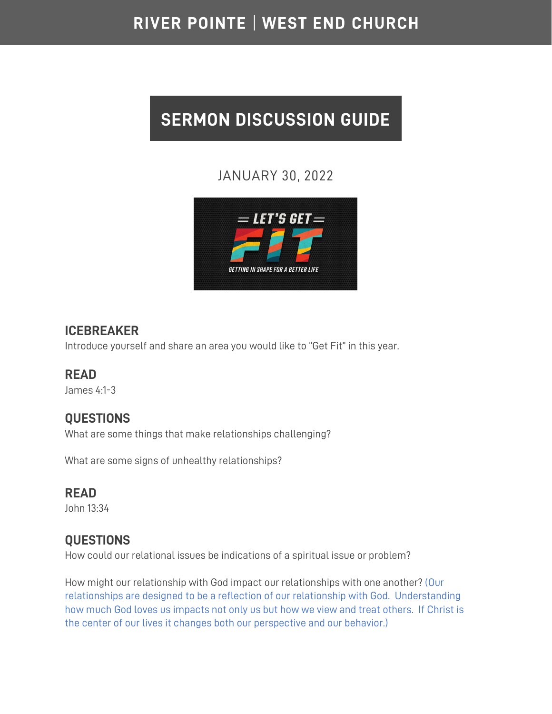## RIVER POINTE | WEST END CHURCH

# **SERMON DISCUSSION GUIDE**

## JANUARY 30, 2022



## **ICEBREAKER**

Introduce yourself and share an area you would like to "Get Fit" in this year.

## **READ**

James 4:1-3

## **QUESTIONS**

What are some things that make relationships challenging?

What are some signs of unhealthy relationships?

## **READ**

John 13:34

## **QUESTIONS**

How could our relational issues be indications of a spiritual issue or problem?

How might our relationship with God impact our relationships with one another? (Our relationships are designed to be a reflection of our relationship with God. Understanding how much God loves us impacts not only us but how we view and treat others. If Christ is the center of our lives it changes both our perspective and our behavior.)